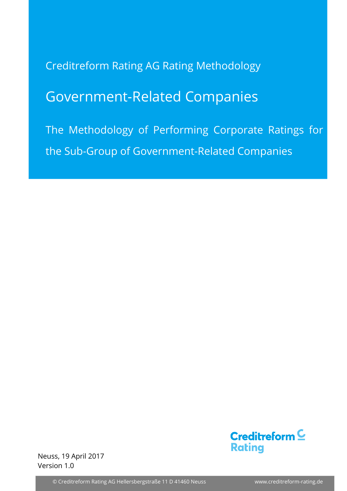Creditreform Rating AG Rating Methodology

# Government-Related Companies

The Methodology of Performing Corporate Ratings for the Sub-Group of Government-Related Companies



Neuss, 19 April 2017 Version 1.0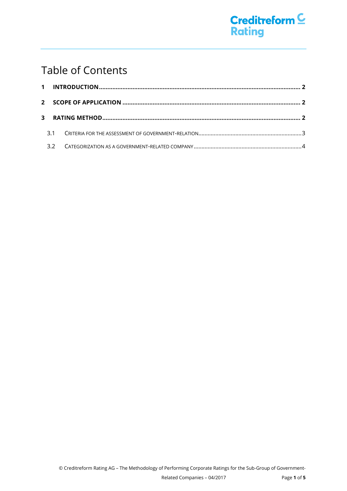## Table of Contents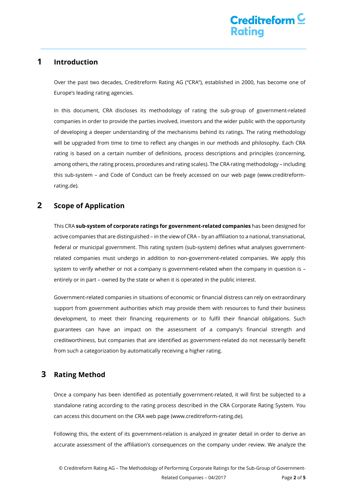### <span id="page-2-0"></span>**1 Introduction**

Over the past two decades, Creditreform Rating AG ("CRA"), established in 2000, has become one of Europe's leading rating agencies.

In this document, CRA discloses its methodology of rating the sub-group of government-related companies in order to provide the parties involved, investors and the wider public with the opportunity of developing a deeper understanding of the mechanisms behind its ratings. The rating methodology will be upgraded from time to time to reflect any changes in our methods and philosophy. Each CRA rating is based on a certain number of definitions, process descriptions and principles (concerning, among others, the rating process, procedures and rating scales). The CRA rating methodology – including this sub-system – and Code of Conduct can be freely accessed on our web page (www.creditreformrating.de).

### <span id="page-2-1"></span>**2 Scope of Application**

This CRA **sub-system of corporate ratings for government-related companies** has been designed for active companies that are distinguished – in the view of CRA – by an affiliation to a national, transnational, federal or municipal government. This rating system (sub-system) defines what analyses governmentrelated companies must undergo in addition to non-government-related companies. We apply this system to verify whether or not a company is government-related when the company in question is – entirely or in part – owned by the state or when it is operated in the public interest.

Government-related companies in situations of economic or financial distress can rely on extraordinary support from government authorities which may provide them with resources to fund their business development, to meet their financing requirements or to fulfil their financial obligations. Such guarantees can have an impact on the assessment of a company's financial strength and creditworthiness, but companies that are identified as government-related do not necessarily benefit from such a categorization by automatically receiving a higher rating.

### <span id="page-2-2"></span>**3 Rating Method**

Once a company has been identified as potentially government-related, it will first be subjected to a standalone rating according to the rating process described in the CRA Corporate Rating System. You can access this document on the CRA web page (www.creditreform-rating.de).

Following this, the extent of its government-relation is analyzed in greater detail in order to derive an accurate assessment of the affiliation's consequences on the company under review. We analyze the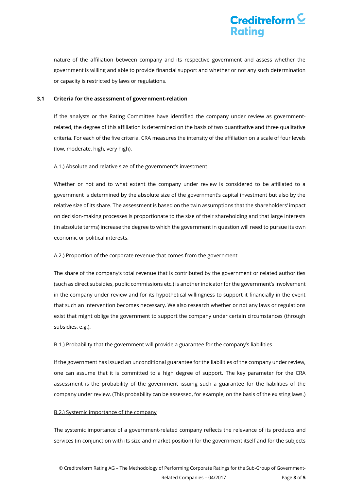## Creditreform  $\underline{\mathsf{C}}$ **Rating**

nature of the affiliation between company and its respective government and assess whether the government is willing and able to provide financial support and whether or not any such determination or capacity is restricted by laws or regulations.

#### <span id="page-3-0"></span>**3.1 Criteria for the assessment of government-relation**

If the analysts or the Rating Committee have identified the company under review as governmentrelated, the degree of this affiliation is determined on the basis of two quantitative and three qualitative criteria. For each of the five criteria, CRA measures the intensity of the affiliation on a scale of four levels (low, moderate, high, very high).

#### A.1.) Absolute and relative size of the government's investment

Whether or not and to what extent the company under review is considered to be affiliated to a government is determined by the absolute size of the government's capital investment but also by the relative size of its share. The assessment is based on the twin assumptions that the shareholders' impact on decision-making processes is proportionate to the size of their shareholding and that large interests (in absolute terms) increase the degree to which the government in question will need to pursue its own economic or political interests.

#### A.2.) Proportion of the corporate revenue that comes from the government

The share of the company's total revenue that is contributed by the government or related authorities (such as direct subsidies, public commissions etc.) is another indicator for the government's involvement in the company under review and for its hypothetical willingness to support it financially in the event that such an intervention becomes necessary. We also research whether or not any laws or regulations exist that might oblige the government to support the company under certain circumstances (through subsidies, e.g.).

#### B.1.) Probability that the government will provide a guarantee for the company's liabilities

If the government has issued an unconditional guarantee for the liabilities of the company under review, one can assume that it is committed to a high degree of support. The key parameter for the CRA assessment is the probability of the government issuing such a guarantee for the liabilities of the company under review. (This probability can be assessed, for example, on the basis of the existing laws.)

#### B.2.) Systemic importance of the company

The systemic importance of a government-related company reflects the relevance of its products and services (in conjunction with its size and market position) for the government itself and for the subjects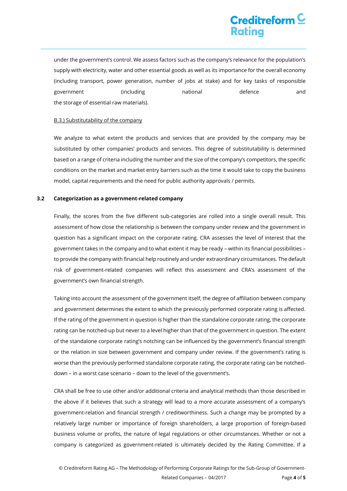## Creditreform  $\underline{\mathsf{C}}$ Rating

under the government's control. We assess factors such as the company's relevance for the population's supply with electricity, water and other essential goods as well as its importance for the overall economy (including transport, power generation, number of jobs at stake) and for key tasks of responsible government (including national defence and the storage of essential raw materials).

#### B.3.) Substitutability of the company

We analyze to what extent the products and services that are provided by the company may be substituted by other companies' products and services. This degree of substitutability is determined based on a range of criteria including the number and the size of the company's competitors, the specific conditions on the market and market entry barriers such as the time it would take to copy the business model, capital requirements and the need for public authority approvals / permits.

#### <span id="page-4-0"></span>**3.2 Categorization as a government-related company**

Finally, the scores from the five different sub-categories are rolled into a single overall result. This assessment of how close the relationship is between the company under review and the government in question has a significant impact on the corporate rating. CRA assesses the level of interest that the government takes in the company and to what extent it may be ready – within its financial possibilities – to provide the company with financial help routinely and under extraordinary circumstances. The default risk of government-related companies will reflect this assessment and CRA's assessment of the government's own financial strength.

Taking into account the assessment of the government itself, the degree of affiliation between company and government determines the extent to which the previously performed corporate rating is affected. If the rating of the government in question is higher than the standalone corporate rating, the corporate rating can be notched-up but never to a level higher than that of the government in question. The extent of the standalone corporate rating's notching can be influenced by the government's financial strength or the relation in size between government and company under review. If the government's rating is worse than the previously performed standalone corporate rating, the corporate rating can be notcheddown – in a worst case scenario – down to the level of the government's.

CRA shall be free to use other and/or additional criteria and analytical methods than those described in the above if it believes that such a strategy will lead to a more accurate assessment of a company's government-relation and financial strength / creditworthiness. Such a change may be prompted by a relatively large number or importance of foreign shareholders, a large proportion of foreign-based business volume or profits, the nature of legal regulations or other circumstances. Whether or not a company is categorized as government-related is ultimately decided by the Rating Committee. If a